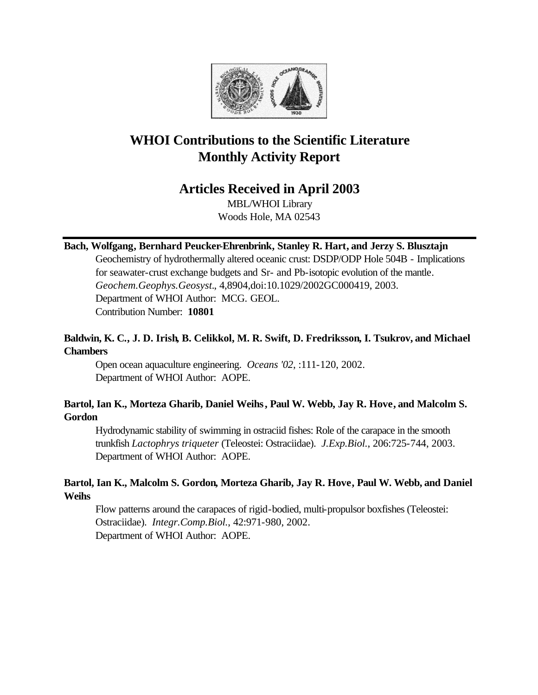

# **WHOI Contributions to the Scientific Literature Monthly Activity Report**

# **Articles Received in April 2003**

MBL/WHOI Library Woods Hole, MA 02543

# **Bach, Wolfgang, Bernhard Peucker-Ehrenbrink, Stanley R. Hart, and Jerzy S. Blusztajn**

Geochemistry of hydrothermally altered oceanic crust: DSDP/ODP Hole 504B - Implications for seawater-crust exchange budgets and Sr- and Pb-isotopic evolution of the mantle. *Geochem.Geophys.Geosyst.*, 4,8904,doi:10.1029/2002GC000419, 2003. Department of WHOI Author: MCG. GEOL. Contribution Number: **10801**

# **Baldwin, K. C., J. D. Irish, B. Celikkol, M. R. Swift, D. Fredriksson, I. Tsukrov, and Michael Chambers**

Open ocean aquaculture engineering. *Oceans '02*, :111-120, 2002. Department of WHOI Author: AOPE.

# **Bartol, Ian K., Morteza Gharib, Daniel Weihs, Paul W. Webb, Jay R. Hove, and Malcolm S. Gordon**

Hydrodynamic stability of swimming in ostraciid fishes: Role of the carapace in the smooth trunkfish *Lactophrys triqueter* (Teleostei: Ostraciidae). *J.Exp.Biol.*, 206:725-744, 2003. Department of WHOI Author: AOPE.

# **Bartol, Ian K., Malcolm S. Gordon, Morteza Gharib, Jay R. Hove, Paul W. Webb, and Daniel Weihs**

Flow patterns around the carapaces of rigid-bodied, multi-propulsor boxfishes (Teleostei: Ostraciidae). *Integr.Comp.Biol.*, 42:971-980, 2002. Department of WHOI Author: AOPE.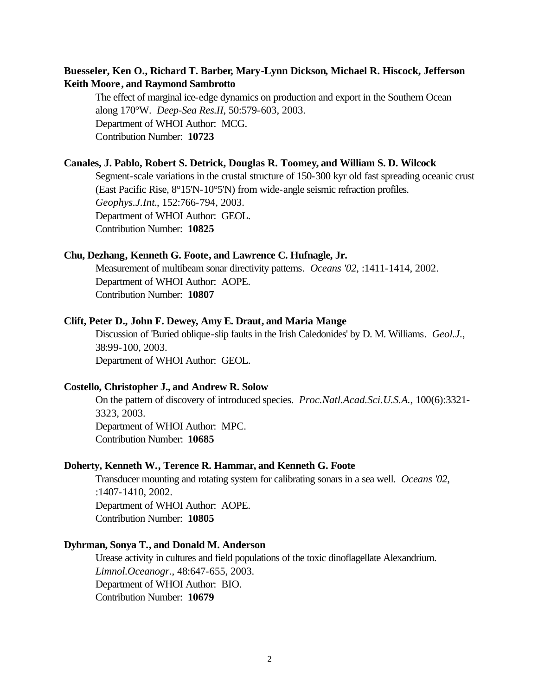# **Buesseler, Ken O., Richard T. Barber, Mary-Lynn Dickson, Michael R. Hiscock, Jefferson Keith Moore, and Raymond Sambrotto**

The effect of marginal ice-edge dynamics on production and export in the Southern Ocean along 170°W. *Deep-Sea Res.II*, 50:579-603, 2003. Department of WHOI Author: MCG. Contribution Number: **10723**

## **Canales, J. Pablo, Robert S. Detrick, Douglas R. Toomey, and William S. D. Wilcock**

Segment-scale variations in the crustal structure of 150-300 kyr old fast spreading oceanic crust (East Pacific Rise, 8°15'N-10°5'N) from wide-angle seismic refraction profiles. *Geophys.J.Int.*, 152:766-794, 2003. Department of WHOI Author: GEOL. Contribution Number: **10825**

## **Chu, Dezhang, Kenneth G. Foote, and Lawrence C. Hufnagle, Jr.**

Measurement of multibeam sonar directivity patterns. *Oceans '02*, :1411-1414, 2002. Department of WHOI Author: AOPE. Contribution Number: **10807**

#### **Clift, Peter D., John F. Dewey, Amy E. Draut, and Maria Mange**

Discussion of 'Buried oblique-slip faults in the Irish Caledonides' by D. M. Williams. *Geol.J.*, 38:99-100, 2003. Department of WHOI Author: GEOL.

#### **Costello, Christopher J., and Andrew R. Solow**

On the pattern of discovery of introduced species. *Proc.Natl.Acad.Sci.U.S.A.*, 100(6):3321- 3323, 2003. Department of WHOI Author: MPC.

Contribution Number: **10685**

#### **Doherty, Kenneth W., Terence R. Hammar, and Kenneth G. Foote**

Transducer mounting and rotating system for calibrating sonars in a sea well. *Oceans '02*, :1407-1410, 2002. Department of WHOI Author: AOPE. Contribution Number: **10805**

## **Dyhrman, Sonya T., and Donald M. Anderson**

Urease activity in cultures and field populations of the toxic dinoflagellate Alexandrium. *Limnol.Oceanogr.*, 48:647-655, 2003. Department of WHOI Author: BIO. Contribution Number: **10679**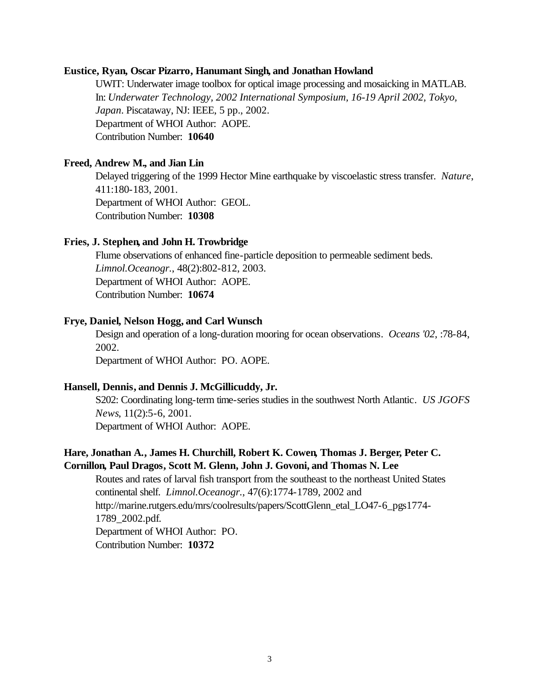#### **Eustice, Ryan, Oscar Pizarro, Hanumant Singh, and Jonathan Howland**

UWIT: Underwater image toolbox for optical image processing and mosaicking in MATLAB. In: *Underwater Technology, 2002 International Symposium, 16-19 April 2002, Tokyo, Japan*. Piscataway, NJ: IEEE, 5 pp., 2002. Department of WHOI Author: AOPE. Contribution Number: **10640**

# **Freed, Andrew M., and Jian Lin**

Delayed triggering of the 1999 Hector Mine earthquake by viscoelastic stress transfer. *Nature*, 411:180-183, 2001. Department of WHOI Author: GEOL. Contribution Number: **10308**

## **Fries, J. Stephen, and John H. Trowbridge**

Flume observations of enhanced fine-particle deposition to permeable sediment beds. *Limnol.Oceanogr.*, 48(2):802-812, 2003. Department of WHOI Author: AOPE. Contribution Number: **10674**

#### **Frye, Daniel, Nelson Hogg, and Carl Wunsch**

Design and operation of a long-duration mooring for ocean observations. *Oceans '02*, :78-84, 2002. Department of WHOI Author: PO. AOPE.

# **Hansell, Dennis, and Dennis J. McGillicuddy, Jr.**

S202: Coordinating long-term time-series studies in the southwest North Atlantic. *US JGOFS News*, 11(2):5-6, 2001. Department of WHOI Author: AOPE.

# **Hare, Jonathan A., James H. Churchill, Robert K. Cowen, Thomas J. Berger, Peter C. Cornillon, Paul Dragos, Scott M. Glenn, John J. Govoni, and Thomas N. Lee**

Routes and rates of larval fish transport from the southeast to the northeast United States continental shelf. *Limnol.Oceanogr.*, 47(6):1774-1789, 2002 and http://marine.rutgers.edu/mrs/coolresults/papers/ScottGlenn\_etal\_LO47-6\_pgs1774- 1789\_2002.pdf. Department of WHOI Author: PO. Contribution Number: **10372**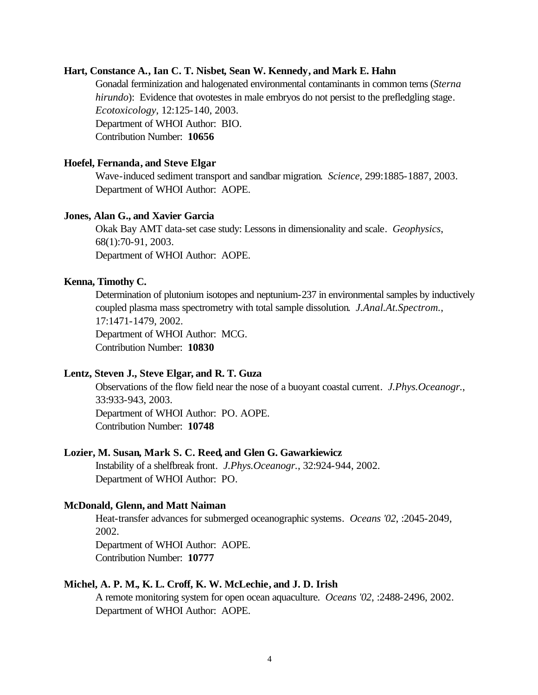#### **Hart, Constance A., Ian C. T. Nisbet, Sean W. Kennedy, and Mark E. Hahn**

Gonadal ferminization and halogenated environmental contaminants in common terns (*Sterna hirundo*): Evidence that ovotestes in male embryos do not persist to the prefledgling stage. *Ecotoxicology*, 12:125-140, 2003. Department of WHOI Author: BIO. Contribution Number: **10656**

## **Hoefel, Fernanda, and Steve Elgar**

Wave-induced sediment transport and sandbar migration. *Science*, 299:1885-1887, 2003. Department of WHOI Author: AOPE.

#### **Jones, Alan G., and Xavier Garcia**

Okak Bay AMT data-set case study: Lessons in dimensionality and scale. *Geophysics*, 68(1):70-91, 2003. Department of WHOI Author: AOPE.

## **Kenna, Timothy C.**

Determination of plutonium isotopes and neptunium-237 in environmental samples by inductively coupled plasma mass spectrometry with total sample dissolution. *J.Anal.At.Spectrom.*, 17:1471-1479, 2002. Department of WHOI Author: MCG. Contribution Number: **10830**

## **Lentz, Steven J., Steve Elgar, and R. T. Guza**

Observations of the flow field near the nose of a buoyant coastal current. *J.Phys.Oceanogr.*, 33:933-943, 2003. Department of WHOI Author: PO. AOPE. Contribution Number: **10748**

#### **Lozier, M. Susan, Mark S. C. Reed, and Glen G. Gawarkiewicz**

Instability of a shelfbreak front. *J.Phys.Oceanogr.*, 32:924-944, 2002. Department of WHOI Author: PO.

#### **McDonald, Glenn, and Matt Naiman**

Heat-transfer advances for submerged oceanographic systems. *Oceans '02*, :2045-2049, 2002.

Department of WHOI Author: AOPE. Contribution Number: **10777**

#### **Michel, A. P. M., K. L. Croff, K. W. McLechie, and J. D. Irish**

A remote monitoring system for open ocean aquaculture. *Oceans '02*, :2488-2496, 2002. Department of WHOI Author: AOPE.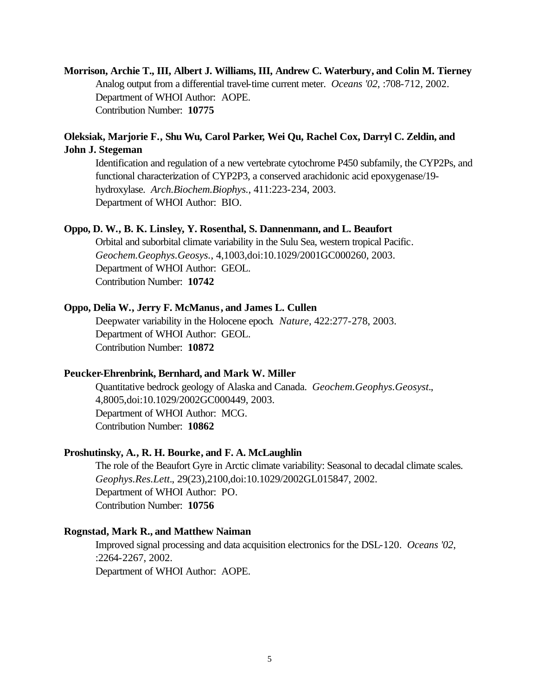**Morrison, Archie T., III, Albert J. Williams, III, Andrew C. Waterbury, and Colin M. Tierney** Analog output from a differential travel-time current meter. *Oceans '02*, :708-712, 2002. Department of WHOI Author: AOPE. Contribution Number: **10775**

# **Oleksiak, Marjorie F., Shu Wu, Carol Parker, Wei Qu, Rachel Cox, Darryl C. Zeldin, and John J. Stegeman**

Identification and regulation of a new vertebrate cytochrome P450 subfamily, the CYP2Ps, and functional characterization of CYP2P3, a conserved arachidonic acid epoxygenase/19 hydroxylase. *Arch.Biochem.Biophys.*, 411:223-234, 2003. Department of WHOI Author: BIO.

## **Oppo, D. W., B. K. Linsley, Y. Rosenthal, S. Dannenmann, and L. Beaufort**

Orbital and suborbital climate variability in the Sulu Sea, western tropical Pacific. *Geochem.Geophys.Geosys.*, 4,1003,doi:10.1029/2001GC000260, 2003. Department of WHOI Author: GEOL. Contribution Number: **10742**

#### **Oppo, Delia W., Jerry F. McManus, and James L. Cullen**

Deepwater variability in the Holocene epoch. *Nature*, 422:277-278, 2003. Department of WHOI Author: GEOL. Contribution Number: **10872**

#### **Peucker-Ehrenbrink, Bernhard, and Mark W. Miller**

Quantitative bedrock geology of Alaska and Canada. *Geochem.Geophys.Geosyst.*, 4,8005,doi:10.1029/2002GC000449, 2003. Department of WHOI Author: MCG. Contribution Number: **10862**

#### **Proshutinsky, A., R. H. Bourke, and F. A. McLaughlin**

The role of the Beaufort Gyre in Arctic climate variability: Seasonal to decadal climate scales. *Geophys.Res.Lett.*, 29(23),2100,doi:10.1029/2002GL015847, 2002. Department of WHOI Author: PO. Contribution Number: **10756**

#### **Rognstad, Mark R., and Matthew Naiman**

Improved signal processing and data acquisition electronics for the DSL-120. *Oceans '02*, :2264-2267, 2002. Department of WHOI Author: AOPE.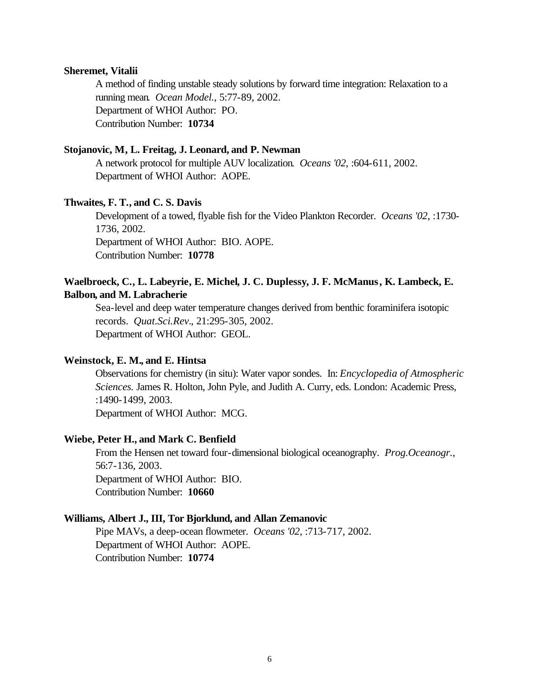#### **Sheremet, Vitalii**

A method of finding unstable steady solutions by forward time integration: Relaxation to a running mean. *Ocean Model.*, 5:77-89, 2002. Department of WHOI Author: PO. Contribution Number: **10734**

# **Stojanovic, M, L. Freitag, J. Leonard, and P. Newman**

A network protocol for multiple AUV localization. *Oceans '02*, :604-611, 2002. Department of WHOI Author: AOPE.

### **Thwaites, F. T., and C. S. Davis**

Development of a towed, flyable fish for the Video Plankton Recorder. *Oceans '02*, :1730- 1736, 2002. Department of WHOI Author: BIO. AOPE. Contribution Number: **10778**

# **Waelbroeck, C., L. Labeyrie, E. Michel, J. C. Duplessy, J. F. McManus, K. Lambeck, E. Balbon, and M. Labracherie**

Sea-level and deep water temperature changes derived from benthic foraminifera isotopic records. *Quat.Sci.Rev.*, 21:295-305, 2002. Department of WHOI Author: GEOL.

## **Weinstock, E. M., and E. Hintsa**

Observations for chemistry (in situ): Water vapor sondes. In: *Encyclopedia of Atmospheric Sciences.* James R. Holton, John Pyle, and Judith A. Curry, eds. London: Academic Press, :1490-1499, 2003.

Department of WHOI Author: MCG.

# **Wiebe, Peter H., and Mark C. Benfield**

From the Hensen net toward four-dimensional biological oceanography. *Prog.Oceanogr.*, 56:7-136, 2003. Department of WHOI Author: BIO. Contribution Number: **10660**

#### **Williams, Albert J., III, Tor Bjorklund, and Allan Zemanovic**

Pipe MAVs, a deep-ocean flowmeter. *Oceans '02*, :713-717, 2002. Department of WHOI Author: AOPE. Contribution Number: **10774**